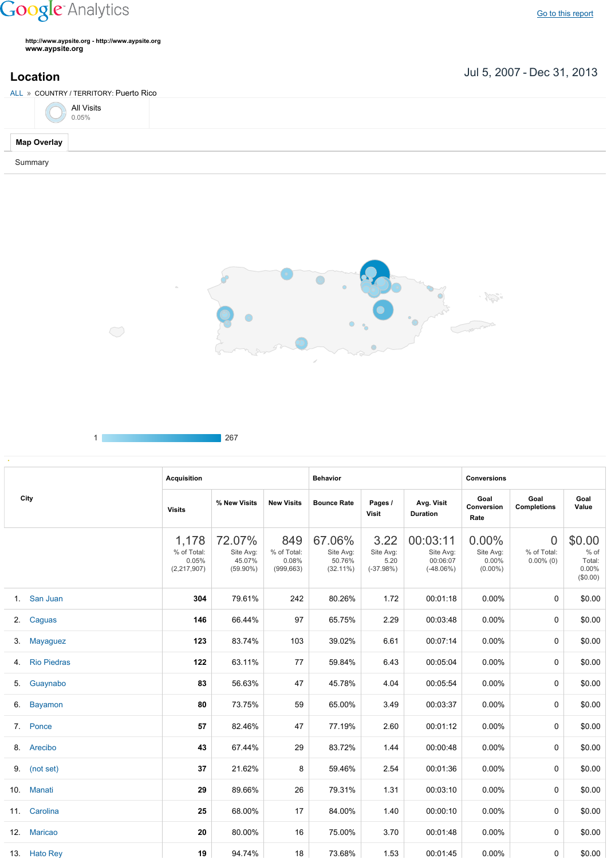## **Google** Analytics

**http://www.aypsite.org http://www.aypsite.org www.aypsite.org**

**Location** Jul 5, 2007 - Dec 31, 2013

| ALL » COUNTRY / TERRITORY: Puerto Rico |                     |  |  |  |  |  |  |  |
|----------------------------------------|---------------------|--|--|--|--|--|--|--|
|                                        | All Visits<br>0.05% |  |  |  |  |  |  |  |
| <b>Map Overlay</b>                     |                     |  |  |  |  |  |  |  |
| Summary                                |                     |  |  |  |  |  |  |  |



|  | ,,<br>__ |
|--|----------|
|  |          |

 $\bigcirc$ 

|    |                    | <b>Acquisition</b>                           |                                              |                                           | <b>Behavior</b>                              |                                          |                                                  | <b>Conversions</b>                        |                                               |                                                  |
|----|--------------------|----------------------------------------------|----------------------------------------------|-------------------------------------------|----------------------------------------------|------------------------------------------|--------------------------------------------------|-------------------------------------------|-----------------------------------------------|--------------------------------------------------|
|    | City               | <b>Visits</b>                                | % New Visits                                 | <b>New Visits</b>                         | <b>Bounce Rate</b>                           | Pages /<br><b>Visit</b>                  | Avg. Visit<br><b>Duration</b>                    | Goal<br>Conversion<br>Rate                | Goal<br><b>Completions</b>                    | Goal<br>Value                                    |
|    |                    | 1,178<br>% of Total:<br>0.05%<br>(2,217,907) | 72.07%<br>Site Avg:<br>45.07%<br>$(59.90\%)$ | 849<br>% of Total:<br>0.08%<br>(999, 663) | 67.06%<br>Site Avg:<br>50.76%<br>$(32.11\%)$ | 3.22<br>Site Avg:<br>5.20<br>$(-37.98%)$ | 00:03:11<br>Site Avg:<br>00:06:07<br>$(-48.06%)$ | 0.00%<br>Site Avg:<br>0.00%<br>$(0.00\%)$ | $\overline{0}$<br>% of Total:<br>$0.00\%$ (0) | \$0.00<br>% of<br>Total:<br>$0.00\%$<br>(\$0.00) |
|    | 1. San Juan        | 304                                          | 79.61%                                       | 242                                       | 80.26%                                       | 1.72                                     | 00:01:18                                         | $0.00\%$                                  | $\Omega$                                      | \$0.00                                           |
|    | 2. Caguas          | 146                                          | 66.44%                                       | 97                                        | 65.75%                                       | 2.29                                     | 00:03:48                                         | $0.00\%$                                  | 0                                             | \$0.00                                           |
| 3. | Mayaguez           | 123                                          | 83.74%                                       | 103                                       | 39.02%                                       | 6.61                                     | 00:07:14                                         | $0.00\%$                                  | 0                                             | \$0.00                                           |
| 4. | <b>Rio Piedras</b> | 122                                          | 63.11%                                       | 77                                        | 59.84%                                       | 6.43                                     | 00:05:04                                         | $0.00\%$                                  | 0                                             | \$0.00                                           |
| 5. | Guaynabo           | 83                                           | 56.63%                                       | 47                                        | 45.78%                                       | 4.04                                     | 00:05:54                                         | $0.00\%$                                  | 0                                             | \$0.00                                           |
| 6. | <b>Bayamon</b>     | 80                                           | 73.75%                                       | 59                                        | 65.00%                                       | 3.49                                     | 00:03:37                                         | $0.00\%$                                  | 0                                             | \$0.00                                           |
| 7. | Ponce              | 57                                           | 82.46%                                       | 47                                        | 77.19%                                       | 2.60                                     | 00:01:12                                         | $0.00\%$                                  | 0                                             | \$0.00                                           |
|    | 8. Arecibo         | 43                                           | 67.44%                                       | 29                                        | 83.72%                                       | 1.44                                     | 00:00:48                                         | $0.00\%$                                  | 0                                             | \$0.00                                           |
|    | 9. (not set)       | 37                                           | 21.62%                                       | 8                                         | 59.46%                                       | 2.54                                     | 00:01:36                                         | $0.00\%$                                  | 0                                             | \$0.00                                           |
|    | 10. Manati         | 29                                           | 89.66%                                       | 26                                        | 79.31%                                       | 1.31                                     | 00:03:10                                         | $0.00\%$                                  | 0                                             | \$0.00                                           |
|    | 11. Carolina       | 25                                           | 68.00%                                       | 17                                        | 84.00%                                       | 1.40                                     | 00:00:10                                         | 0.00%                                     | 0                                             | \$0.00                                           |
|    | 12. Maricao        | 20                                           | 80.00%                                       | 16                                        | 75.00%                                       | 3.70                                     | 00:01:48                                         | $0.00\%$                                  | 0                                             | \$0.00                                           |
|    | 13. Hato Rey       | 19                                           | 94.74%                                       | 18                                        | 73.68%                                       | 1.53                                     | 00:01:45                                         | 0.00%                                     | 0                                             | \$0.00                                           |